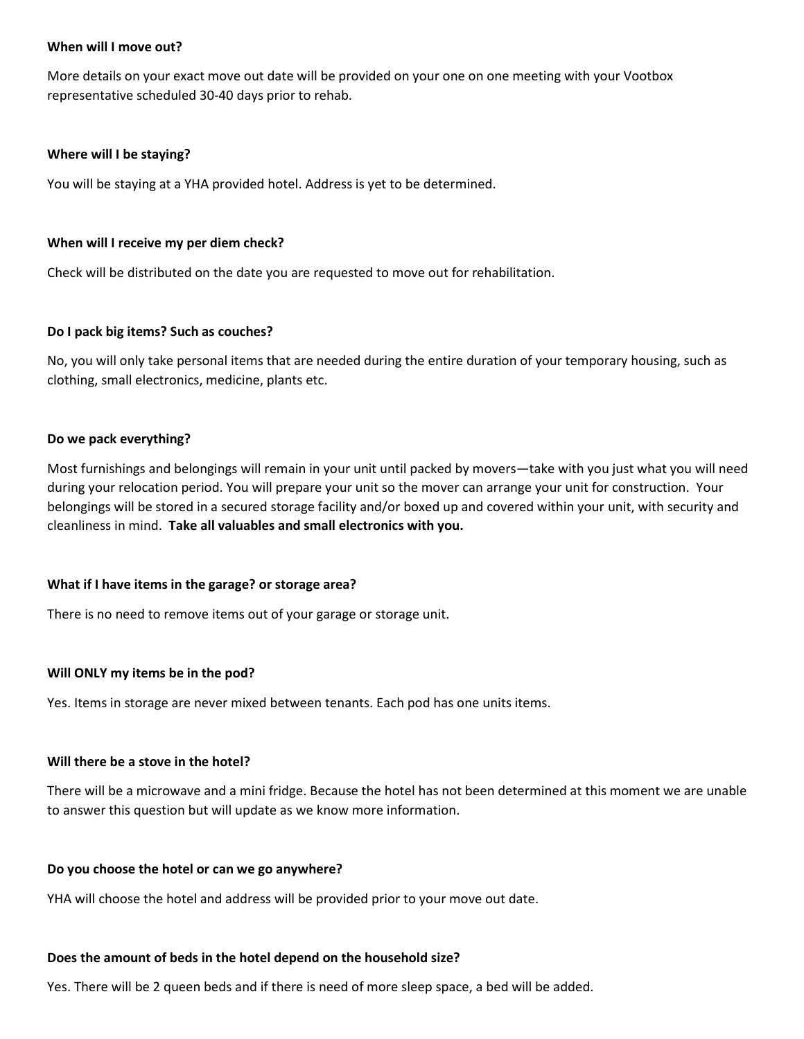#### **When will I move out?**

More details on your exact move out date will be provided on your one on one meeting with your Vootbox representative scheduled 30-40 days prior to rehab.

#### **Where will I be staying?**

You will be staying at a YHA provided hotel. Address is yet to be determined.

#### **When will I receive my per diem check?**

Check will be distributed on the date you are requested to move out for rehabilitation.

#### **Do I pack big items? Such as couches?**

No, you will only take personal items that are needed during the entire duration of your temporary housing, such as clothing, small electronics, medicine, plants etc.

#### **Do we pack everything?**

Most furnishings and belongings will remain in your unit until packed by movers—take with you just what you will need during your relocation period. You will prepare your unit so the mover can arrange your unit for construction. Your belongings will be stored in a secured storage facility and/or boxed up and covered within your unit, with security and cleanliness in mind. **Take all valuables and small electronics with you.**

## **What if I have items in the garage? or storage area?**

There is no need to remove items out of your garage or storage unit.

## **Will ONLY my items be in the pod?**

Yes. Items in storage are never mixed between tenants. Each pod has one units items.

#### **Will there be a stove in the hotel?**

There will be a microwave and a mini fridge. Because the hotel has not been determined at this moment we are unable to answer this question but will update as we know more information.

#### **Do you choose the hotel or can we go anywhere?**

YHA will choose the hotel and address will be provided prior to your move out date.

#### **Does the amount of beds in the hotel depend on the household size?**

Yes. There will be 2 queen beds and if there is need of more sleep space, a bed will be added.